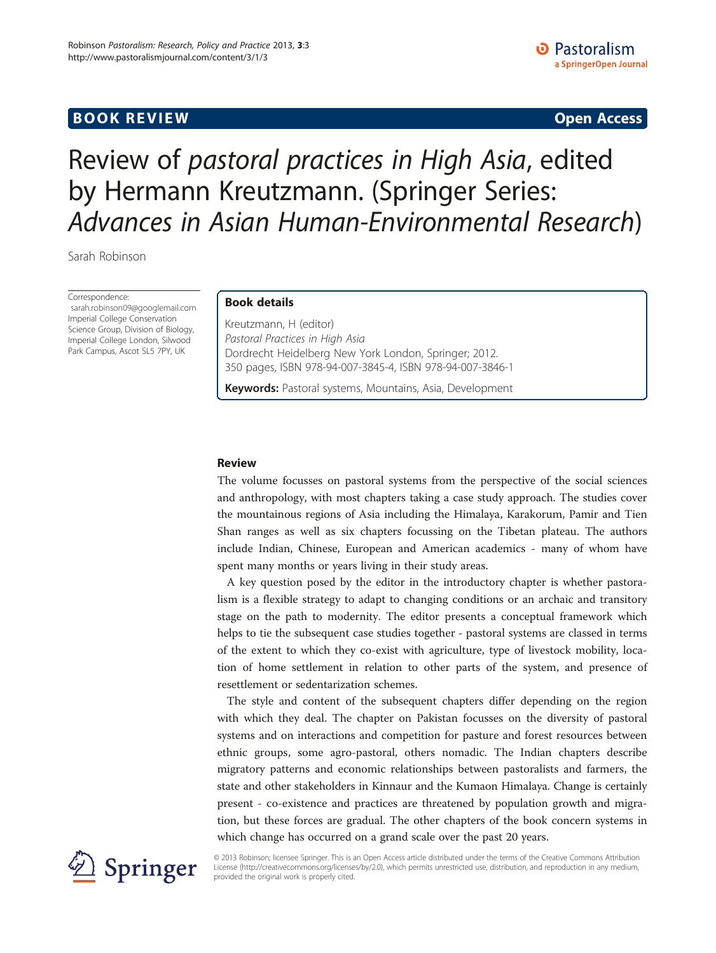# **BOOK REVIEW CONTROL** BOOK REVIEW

# Review of pastoral practices in High Asia, edited by Hermann Kreutzmann. (Springer Series: Advances in Asian Human-Environmental Research)

Sarah Robinson

Correspondence:

[sarah.robinson09@googlemail.com](mailto:sarah.robinson09@googlemail.com) Imperial College Conservation Science Group, Division of Biology, Imperial College London, Silwood Park Campus, Ascot SL5 7PY, UK

## Book details

Kreutzmann, H (editor) Pastoral Practices in High Asia Dordrecht Heidelberg New York London, Springer; 2012. 350 pages, ISBN 978-94-007-3845-4, ISBN 978-94-007-3846-1

Keywords: Pastoral systems, Mountains, Asia, Development

### Review

The volume focusses on pastoral systems from the perspective of the social sciences and anthropology, with most chapters taking a case study approach. The studies cover the mountainous regions of Asia including the Himalaya, Karakorum, Pamir and Tien Shan ranges as well as six chapters focussing on the Tibetan plateau. The authors include Indian, Chinese, European and American academics - many of whom have spent many months or years living in their study areas.

A key question posed by the editor in the introductory chapter is whether pastoralism is a flexible strategy to adapt to changing conditions or an archaic and transitory stage on the path to modernity. The editor presents a conceptual framework which helps to tie the subsequent case studies together - pastoral systems are classed in terms of the extent to which they co-exist with agriculture, type of livestock mobility, location of home settlement in relation to other parts of the system, and presence of resettlement or sedentarization schemes.

The style and content of the subsequent chapters differ depending on the region with which they deal. The chapter on Pakistan focusses on the diversity of pastoral systems and on interactions and competition for pasture and forest resources between ethnic groups, some agro-pastoral, others nomadic. The Indian chapters describe migratory patterns and economic relationships between pastoralists and farmers, the state and other stakeholders in Kinnaur and the Kumaon Himalaya. Change is certainly present - co-existence and practices are threatened by population growth and migration, but these forces are gradual. The other chapters of the book concern systems in which change has occurred on a grand scale over the past 20 years.



© 2013 Robinson; licensee Springer. This is an Open Access article distributed under the terms of the Creative Commons Attribution License [\(http://creativecommons.org/licenses/by/2.0\)](http://creativecommons.org/licenses/by/2.0), which permits unrestricted use, distribution, and reproduction in any medium, provided the original work is properly cited.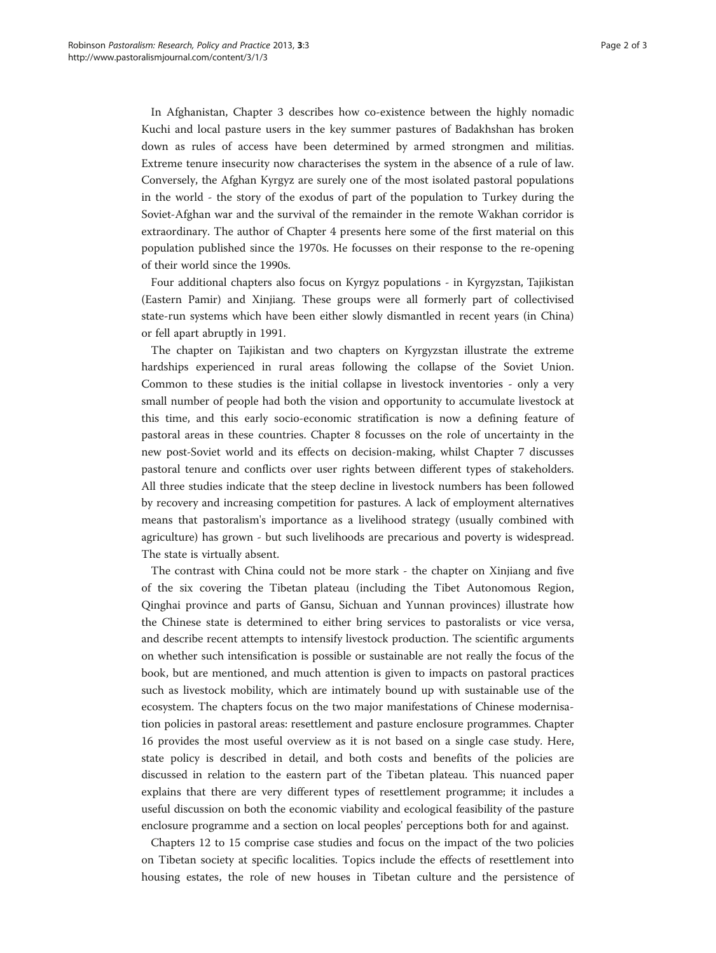In Afghanistan, Chapter 3 describes how co-existence between the highly nomadic Kuchi and local pasture users in the key summer pastures of Badakhshan has broken down as rules of access have been determined by armed strongmen and militias. Extreme tenure insecurity now characterises the system in the absence of a rule of law. Conversely, the Afghan Kyrgyz are surely one of the most isolated pastoral populations in the world - the story of the exodus of part of the population to Turkey during the Soviet-Afghan war and the survival of the remainder in the remote Wakhan corridor is extraordinary. The author of Chapter 4 presents here some of the first material on this population published since the 1970s. He focusses on their response to the re-opening of their world since the 1990s.

Four additional chapters also focus on Kyrgyz populations - in Kyrgyzstan, Tajikistan (Eastern Pamir) and Xinjiang. These groups were all formerly part of collectivised state-run systems which have been either slowly dismantled in recent years (in China) or fell apart abruptly in 1991.

The chapter on Tajikistan and two chapters on Kyrgyzstan illustrate the extreme hardships experienced in rural areas following the collapse of the Soviet Union. Common to these studies is the initial collapse in livestock inventories - only a very small number of people had both the vision and opportunity to accumulate livestock at this time, and this early socio-economic stratification is now a defining feature of pastoral areas in these countries. Chapter 8 focusses on the role of uncertainty in the new post-Soviet world and its effects on decision-making, whilst Chapter 7 discusses pastoral tenure and conflicts over user rights between different types of stakeholders. All three studies indicate that the steep decline in livestock numbers has been followed by recovery and increasing competition for pastures. A lack of employment alternatives means that pastoralism's importance as a livelihood strategy (usually combined with agriculture) has grown - but such livelihoods are precarious and poverty is widespread. The state is virtually absent.

The contrast with China could not be more stark - the chapter on Xinjiang and five of the six covering the Tibetan plateau (including the Tibet Autonomous Region, Qinghai province and parts of Gansu, Sichuan and Yunnan provinces) illustrate how the Chinese state is determined to either bring services to pastoralists or vice versa, and describe recent attempts to intensify livestock production. The scientific arguments on whether such intensification is possible or sustainable are not really the focus of the book, but are mentioned, and much attention is given to impacts on pastoral practices such as livestock mobility, which are intimately bound up with sustainable use of the ecosystem. The chapters focus on the two major manifestations of Chinese modernisation policies in pastoral areas: resettlement and pasture enclosure programmes. Chapter 16 provides the most useful overview as it is not based on a single case study. Here, state policy is described in detail, and both costs and benefits of the policies are discussed in relation to the eastern part of the Tibetan plateau. This nuanced paper explains that there are very different types of resettlement programme; it includes a useful discussion on both the economic viability and ecological feasibility of the pasture enclosure programme and a section on local peoples' perceptions both for and against.

Chapters 12 to 15 comprise case studies and focus on the impact of the two policies on Tibetan society at specific localities. Topics include the effects of resettlement into housing estates, the role of new houses in Tibetan culture and the persistence of